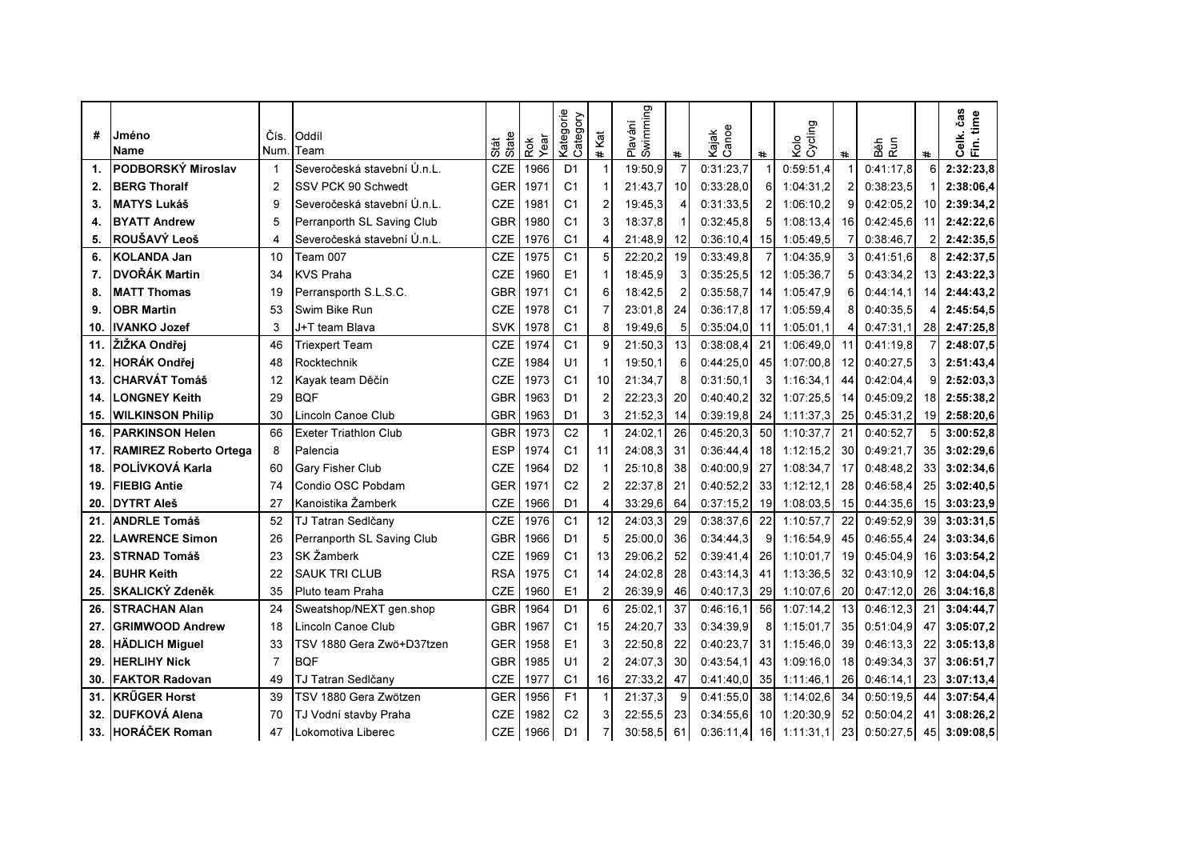|                |                         |                |                              |               |             | Kategorie<br>Category |                      | Swimming |                |                |                 |                 |                 |            |                 | Celk. čas<br>Fin. time |
|----------------|-------------------------|----------------|------------------------------|---------------|-------------|-----------------------|----------------------|----------|----------------|----------------|-----------------|-----------------|-----------------|------------|-----------------|------------------------|
| #              | Jméno                   | Čís.           | Oddíl                        | Stát<br>State | Rok<br>Year |                       | Kat                  | Plavání  |                | Cance<br>Kajak |                 | Cycling<br>Kolo |                 | Běh<br>Run |                 |                        |
|                | <b>Name</b>             | Num            | Team                         |               |             |                       | $\ddot{\phantom{1}}$ |          | $\ddot{}$      |                | $\ddot{}$       |                 | $\pmb{\ast}$    |            | $\ast$          |                        |
| $\mathbf{1}$ . | PODBORSKÝ Miroslav      |                | Severočeská stavební Ú.n.L.  | CZE           | 1966        | D <sub>1</sub>        |                      | 19:50,9  | $\overline{7}$ | 0:31:23,7      |                 | 0:59:51,4       |                 | 0:41:17.8  | 6               | 2:32:23,8              |
| 2.             | <b>BERG Thoralf</b>     | $\overline{2}$ | SSV PCK 90 Schwedt           | <b>GER</b>    | 1971        | C <sub>1</sub>        |                      | 21:43.7  | 10             | 0:33:28.0      | 6               | 1:04:31.2       |                 | 0:38:23.5  |                 | 2:38:06,4              |
| 3.             | <b>MATYS Lukáš</b>      | 9              | Severočeská stavební Ú.n.L.  | <b>CZE</b>    | 1981        | C <sub>1</sub>        |                      | 19:45.3  |                | 0:31:33.5      | 2               | 1:06:10.2       | g               | 0:42:05.2  | 10              | 2:39:34,2              |
| 4.             | <b>BYATT Andrew</b>     | 5              | Perranporth SL Saving Club   | GBR           | 1980        | C <sub>1</sub>        |                      | 18:37.8  |                | 0:32:45.8      | 5               | 1:08:13.4       | 16 <sup>1</sup> | 0:42:45.6  | 11              | 2:42:22,6              |
| 5.             | ROUŠAVÝ Leoš            | 4              | Severočeská stavební Ú.n.L.  | CZE           | 1976        | C <sub>1</sub>        |                      | 21:48.9  | 12             | 0:36:10,4      | 15              | 1:05:49.5       |                 | 0:38:46.7  | 2               | 2:42:35,5              |
| 6.             | <b>KOLANDA Jan</b>      | 10             | Team 007                     | CZE           | 1975        | C <sub>1</sub>        |                      | 22:20,2  | 19             | 0:33:49.8      |                 | 1:04:35,9       |                 | 0:41:51.6  | 8               | 2:42:37,5              |
| 7.             | DVOŘÁK Martin           | 34             | KVS Praha                    | CZE           | 1960        | E1                    |                      | 18:45,9  |                | 0:35:25.5      | 12              | 1:05:36.7       |                 | 0:43:34.2  | 13 <sup>l</sup> | 2:43:22,3              |
| 8.             | <b>MATT Thomas</b>      | 19             | Perransporth S.L.S.C.        | GBR           | 1971        | C <sub>1</sub>        | 6                    | 18:42.5  |                | 0:35:58.7      | 14              | 1:05:47,9       | 6               | 0:44:14.1  | 14              | 2:44:43,2              |
| 9.             | <b>OBR Martin</b>       | 53             | Swim Bike Run                | CZE           | 1978        | C <sub>1</sub>        |                      | 23:01.8  | 24             | 0:36:17.8      | 17              | 1:05:59.4       |                 | 0:40:35.5  |                 | 2:45:54,5              |
| 10.            | <b>IVANKO Jozef</b>     | 3              | J+T team Blava               | SVK           | 1978        | C <sub>1</sub>        | 8                    | 19:49,6  | 5              | 0:35:04.0      | 11              | 1:05:01.1       | 4               | 0:47:31.1  | 28 <sup>1</sup> | 2:47:25,8              |
| 11.            | ŽIŽKA Ondřei            | 46             | <b>Triexpert Team</b>        | <b>CZE</b>    | 1974        | C <sub>1</sub>        | $\mathbf{Q}$         | 21:50.3  | 13             | 0:38:08.4      | 21              | 1:06:49,0       | 11              | 0:41:19,8  |                 | 2:48:07,5              |
| 12.            | <b>HORÁK Ondřej</b>     | 48             | Rocktechnik                  | <b>CZE</b>    | 1984        | U <sub>1</sub>        |                      | 19:50,1  | 6              | 0:44:25,0      | 45              | 1:07:00.8       | 12              | 0:40:27.5  | 3               | 2:51:43,4              |
| 13.            | <b>CHARVÁT Tomáš</b>    | 12             | Kayak team Děčín             | <b>CZE</b>    | 1973        | C <sub>1</sub>        | 10                   | 21:34,7  | 8              | 0:31:50.1      | 3               | 1:16:34.1       | 44              | 0:42:04.4  | 9               | 2:52:03,3              |
| 14.            | <b>LONGNEY Keith</b>    | 29             | <b>BQF</b>                   | GBR           | 1963        | D <sub>1</sub>        | $\mathcal{P}$        | 22:23,3  | 20             | 0:40:40,2      | 32              | 1:07:25,5       | 14              | 0:45:09.2  | 18              | 2:55:38,2              |
| 15.            | <b>WILKINSON Philip</b> | 30             | Lincoln Canoe Club           | GBR           | 1963        | D <sub>1</sub>        | 3                    | 21:52,3  | 14             | 0:39:19.8      | 24              | 1:11:37,3       | 25              | 0:45:31,2  | 19              | 2:58:20,6              |
| 16.            | <b>PARKINSON Helen</b>  | 66             | <b>Exeter Triathlon Club</b> | <b>GBR</b>    | 1973        | C <sub>2</sub>        |                      | 24:02.1  | 26             | 0:45:20.3      | 50 <sup>1</sup> | 1:10:37.7       | 21              | 0:40:52.7  | 5               | 3:00:52,8              |
| 17.            | RAMIREZ Roberto Ortega  | 8              | Palencia                     | <b>ESP</b>    | 1974        | C <sub>1</sub>        | 11                   | 24:08,3  | 31             | 0:36:44,4      | 18 <sup>l</sup> | 1:12:15.2       | 30              | 0:49:21.7  | 35              | 3:02:29,6              |
| 18.            | POLÍVKOVÁ Karla         | 60             | <b>Gary Fisher Club</b>      | CZE           | 1964        | D <sub>2</sub>        |                      | 25:10,8  | 38             | 0:40:00,9      | 27              | 1:08:34,7       | 17              | 0:48:48.2  | 33 <sub>1</sub> | 3:02:34,6              |
| 19.            | <b>FIEBIG Antie</b>     | 74             | Condio OSC Pobdam            | <b>GER</b>    | 1971        | C <sub>2</sub>        |                      | 22:37,8  | 21             | 0:40:52,2      | 33 <sub>l</sub> | 1:12:12,1       | 28              | 0:46:58.4  | 25              | 3:02:40,5              |
| 20.            | <b>IDYTRT Aleš</b>      | 27             | Kanoistika Žamberk           | CZE           | 1966        | D <sub>1</sub>        | 4                    | 33:29,6  | 64             | 0:37:15,2      | 19              | 1:08:03,5       | 15              | 0:44:35,6  | 15              | 3:03:23,9              |
| 21.            | <b>ANDRLE Tomáš</b>     | 52             | TJ Tatran Sedlčany           | <b>CZE</b>    | 1976        | C <sub>1</sub>        | 12                   | 24:03.3  | 29             | 0:38:37.6      | 22              | 1:10:57.7       | 22              | 0:49:52.9  | 39              | 3:03:31,5              |
| 22.            | <b>LAWRENCE Simon</b>   | 26             | Perranporth SL Saving Club   | <b>GBR</b>    | 1966        | D <sub>1</sub>        | 5                    | 25:00,0  | 36             | 0:34:44.3      | 9               | 1:16:54.9       | 45              | 0:46:55.4  | 24              | 3:03:34,6              |
| 23.            | <b>STRNAD Tomáš</b>     | 23             | SK Žamberk                   | <b>CZE</b>    | 1969        | C <sub>1</sub>        | 13                   | 29:06.2  | 52             | 0:39:41.4      | 26              | 1:10:01.7       | 19              | 0:45:04.9  | 16              | 3:03:54,2              |
| 24.            | <b>BUHR Keith</b>       | 22             | SAUK TRI CLUB                | <b>RSA</b>    | 1975        | C <sub>1</sub>        | 14                   | 24:02.8  | 28             | 0:43:14.3      | 41              | 1:13:36.5       | 32              | 0:43:10.9  | 12              | 3:04:04,5              |
| 25.            | <b>SKALICKÝ Zdeněk</b>  | 35             | Pluto team Praha             | <b>CZE</b>    | 1960        | E1                    | 2                    | 26:39.9  | 46             | 0:40:17.3      | 29              | 1:10:07.6       | <b>20</b>       | 0:47:12.0  | 26              | 3:04:16.8              |
| 26.            | <b>STRACHAN Alan</b>    | 24             | Sweatshop/NEXT gen.shop      | <b>GBR</b>    | 1964        | D <sub>1</sub>        | 6                    | 25:02,1  | 37             | 0:46:16,1      | 56              | 1:07:14,2       | 13              | 0:46:12,3  | 21              | 3:04:44,7              |
| 27.            | <b>GRIMWOOD Andrew</b>  | 18             | Lincoln Canoe Club           | <b>GBR</b>    | 1967        | C <sub>1</sub>        | 15                   | 24:20,7  | 33             | 0:34:39.9      | 8               | 1:15:01.7       | 35              | 0:51:04.9  | 47              | 3:05:07,2              |
| 28.            | <b>HÄDLICH Miguel</b>   | 33             | TSV 1880 Gera Zwö+D37tzen    | GER           | 1958        | E <sub>1</sub>        |                      | 22:50.8  | 22             | 0:40:23.7      | 31              | 1:15:46,0       | 39              | 0:46:13,3  | 22              | 3:05:13,8              |
| 29.            | <b>HERLIHY Nick</b>     | 7              | BOF                          | GBR           | 1985        | U <sub>1</sub>        |                      | 24:07.3  | 30             | 0:43:54.1      | 43              | 1:09:16.0       | 18              | 0:49:34.3  | 37              | 3:06:51,7              |
| 30.            | <b>FAKTOR Radovan</b>   | 49             | TJ Tatran Sedlčany           | CZE           | 1977        | C <sub>1</sub>        | 16                   | 27:33,2  | 47             | 0:41:40.0      | 35              | 1:11:46,1       | 26              | 0:46:14.1  | 23              | 3:07:13,4              |
| 31.            | <b>KRÜGER Horst</b>     | 39             | TSV 1880 Gera Zwötzen        | <b>GER</b>    | 1956        | F <sub>1</sub>        |                      | 21:37,3  | 9              | 0:41:55.0      | 38              | 1:14:02.6       | 34              | 0:50:19.5  | 44              | 3:07:54,4              |
| 32.            | <b>DUFKOVÁ Alena</b>    | 70             | TJ Vodní stavby Praha        | <b>CZE</b>    | 1982        | C <sub>2</sub>        |                      | 22:55.5  | 23             | 0:34:55.6      | 10I             | 1:20:30.9       | 52              | 0:50:04.2  | 41              | 3:08:26,2              |
|                | 33. HORÁČEK Roman       | 47             | Lokomotiva Liberec           | CZE           | 1966        | D <sub>1</sub>        |                      | 30:58.5  | 61             | 0:36:11,4      | 16              | 1:11:31.1       | 23              | 0:50:27.5  | 45              | 3:09:08,5              |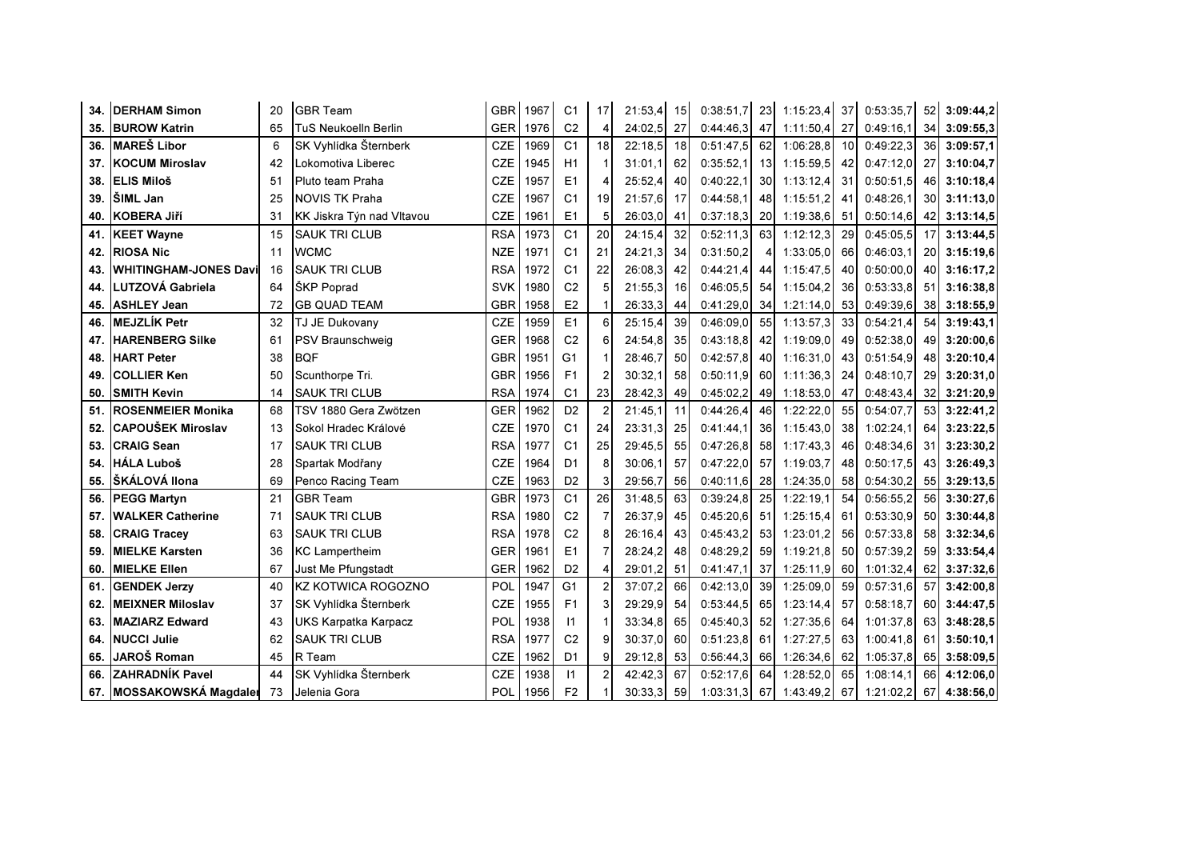| 34. | <b>IDERHAM Simon</b>          | 20 | <b>GBR Team</b>             |            | GBR 1967 | C <sub>1</sub> | 17 <sup>1</sup> | 21:53.4 | 15              | 0:38:51.7 | 23              | 1:15:23.4 | 37 | 0:53:35.7 | 52              | 3:09:44,2    |
|-----|-------------------------------|----|-----------------------------|------------|----------|----------------|-----------------|---------|-----------------|-----------|-----------------|-----------|----|-----------|-----------------|--------------|
| 35. | <b>BUROW Katrin</b>           | 65 | TuS Neukoelln Berlin        | <b>GER</b> | 1976     | C <sub>2</sub> | 4               | 24:02.5 | 27              | 0:44:46.3 | 47              | 1:11:50,4 | 27 | 0:49:16.1 |                 | 34 3:09:55,3 |
| 36. | <b>MAREŠ Libor</b>            | 6  | SK Vyhlídka Šternberk       | <b>CZE</b> | 1969     | C <sub>1</sub> | 18              | 22:18.5 | 18 <sup>1</sup> | 0:51:47.5 | 62              | 1:06:28.8 | 10 | 0:49:22.3 | 36 <sup>°</sup> | 3:09:57.1    |
| 37. | <b>KOCUM Miroslav</b>         | 42 | Lokomotiva Liberec          | <b>CZE</b> | 1945     | H1             |                 | 31:01.1 | 62              | 0:35:52.1 | 13 <sup>l</sup> | 1:15:59.5 | 42 | 0:47:12.0 | 27              | 3:10:04,7    |
| 38. | <b>ELIS Miloš</b>             | 51 | Pluto team Praha            | <b>CZE</b> | 1957     | E1             | 4               | 25:52.4 | 40              | 0:40:22.1 | 30 <sup>l</sup> | 1:13:12.4 | 31 | 0:50:51.5 | 46              | 3:10:18,4    |
| 39. | ŠIML Jan                      | 25 | <b>NOVIS TK Praha</b>       | CZE        | 1967     | C <sub>1</sub> | 19              | 21:57.6 | 17              | 0:44:58.1 | 48              | 1:15:51,2 | 41 | 0:48:26.1 | 30 <sub>l</sub> | 3:11:13,0    |
| 40. | <b>KOBERA Jiří</b>            | 31 | KK Jiskra Týn nad Vltavou   | <b>CZE</b> | 1961     | E1             | 5               | 26:03.0 | 41              | 0:37:18,3 | 20 <sub>l</sub> | 1:19:38,6 | 51 | 0:50:14,6 |                 | 42 3:13:14,5 |
| 41. | <b>KEET Wayne</b>             | 15 | <b>SAUK TRI CLUB</b>        | <b>RSA</b> | 1973     | C <sub>1</sub> | 20              | 24:15,4 | 32              | 0:52:11,3 | 63              | 1:12:12,3 | 29 | 0:45:05.5 | 17              | 3:13:44,5    |
| 42. | <b>RIOSA Nic</b>              | 11 | <b>WCMC</b>                 | NZE        | 1971     | C <sub>1</sub> | 21              | 24:21.3 | 34              | 0:31:50,2 | 4               | 1:33:05.0 | 66 | 0:46:03.1 | <b>20</b>       | 3:15:19.6    |
| 43. | <b>WHITINGHAM-JONES Davil</b> | 16 | <b>SAUK TRI CLUB</b>        | <b>RSA</b> | 1972     | C <sub>1</sub> | 22              | 26:08.3 | 42              | 0:44:21.4 | 44              | 1:15:47.5 | 40 | 0:50:00.0 | 40              | 3:16:17,2    |
| 44. | LUTZOVÁ Gabriela              | 64 | ŠKP Poprad                  | <b>SVK</b> | 1980     | C <sub>2</sub> |                 | 21:55.3 | 16              | 0:46:05.5 | 54              | 1:15:04,2 | 36 | 0:53:33.8 | 51              | 3:16:38.8    |
| 45. | <b>ASHLEY Jean</b>            | 72 | <b>GB QUAD TEAM</b>         | <b>GBR</b> | 1958     | E <sub>2</sub> |                 | 26:33.3 | 44              | 0:41:29,0 | 34              | 1:21:14,0 | 53 | 0:49:39,6 | 38 <sup>l</sup> | 3:18:55,9    |
| 46. | <b>MEJZLÍK Petr</b>           | 32 | TJ JE Dukovany              | <b>CZE</b> | 1959     | E1             | 6               | 25:15,4 | 39              | 0:46:09,0 | 55              | 1:13:57.3 | 33 | 0:54:21,4 | 54              | 3:19:43,1    |
| 47. | <b>HARENBERG Silke</b>        | 61 | <b>PSV Braunschweig</b>     | <b>GER</b> | 1968     | C <sub>2</sub> | 61              | 24:54.8 | 35              | 0:43:18.8 | 421             | 1:19:09.0 | 49 | 0:52:38.0 | 49              | 3:20:00,6    |
| 48. | <b>HART Peter</b>             | 38 | <b>BQF</b>                  | <b>GBR</b> | 1951     | G1             |                 | 28:46.7 | 50 <sub>l</sub> | 0:42:57,8 | 40I             | 1:16:31,0 | 43 | 0:51:54.9 | 48              | 3:20:10,4    |
| 49. | <b>COLLIER Ken</b>            | 50 | Scunthorpe Tri.             | <b>GBR</b> | 1956     | F1             |                 | 30:32.1 | 58              | 0:50:11.9 | 601             | 1:11:36.3 | 24 | 0:48:10.7 | <b>29</b>       | 3:20:31.0    |
| 50. | <b>SMITH Kevin</b>            | 14 | <b>SAUK TRI CLUB</b>        | <b>RSA</b> | 1974     | C <sub>1</sub> | 23              | 28:42.3 | 49              | 0:45:02,2 | 49              | 1:18:53,0 | 47 | 0:48:43,4 |                 | 32 3:21:20,9 |
| 51. | <b>ROSENMEIER Monika</b>      | 68 | TSV 1880 Gera Zwötzen       | <b>GER</b> | 1962     | D <sub>2</sub> | 2               | 21:45.1 | 11              | 0:44:26,4 | 46              | 1:22:22,0 | 55 | 0:54:07.7 | 53              | 3:22:41,2    |
| 52. | <b>CAPOUŠEK Miroslav</b>      | 13 | Sokol Hradec Králové        | <b>CZE</b> | 1970     | C <sub>1</sub> | 24              | 23:31.3 | 25              | 0:41:44,1 | 36I             | 1:15:43.0 | 38 | 1:02:24.1 | 64              | 3:23:22.5    |
| 53. | <b>CRAIG Sean</b>             | 17 | <b>SAUK TRI CLUB</b>        | <b>RSA</b> | 1977     | C <sub>1</sub> | 25              | 29:45.5 | 55              | 0:47:26.8 | 58              | 1:17:43.3 | 46 | 0:48:34.6 | 31              | 3:23:30,2    |
| 54. | <b>HÁLA Luboš</b>             | 28 | Spartak Modřany             | <b>CZE</b> | 1964     | D <sub>1</sub> | 8               | 30:06.1 | 57              | 0:47:22.0 | 57              | 1:19:03.7 | 48 | 0:50:17.5 | 43              | 3:26:49,3    |
| 55. | ŠKÁLOVÁ Ilona                 | 69 | Penco Racing Team           | <b>CZE</b> | 1963     | D <sub>2</sub> | 3               | 29:56,7 | 56              | 0:40:11,6 | 28              | 1:24:35,0 | 58 | 0:54:30,2 | 55              | 3:29:13,5    |
| 56. | <b>PEGG Martyn</b>            | 21 | <b>GBR Team</b>             | <b>GBR</b> | 1973     | C <sub>1</sub> | 26              | 31:48,5 | 63              | 0:39:24,8 | 25              | 1:22:19,1 | 54 | 0:56:55.2 | 56              | 3:30:27,6    |
| 57. | <b>WALKER Catherine</b>       | 71 | <b>SAUK TRI CLUB</b>        | <b>RSA</b> | 1980     | C <sub>2</sub> |                 | 26:37,9 | 45              | 0:45:20.6 | 51              | 1:25:15.4 | 61 | 0:53:30.9 | 50 <sub>1</sub> | 3:30:44.8    |
| 58. | <b>CRAIG Tracey</b>           | 63 | <b>SAUK TRI CLUB</b>        | <b>RSA</b> | 1978     | C <sub>2</sub> | 8               | 26:16.4 | 43              | 0:45:43.2 | 53 <sub>l</sub> | 1:23:01.2 | 56 | 0:57:33.8 | 58              | 3:32:34,6    |
| 59. | <b>MIELKE Karsten</b>         | 36 | <b>KC Lampertheim</b>       | <b>GER</b> | 1961     | E1             |                 | 28:24.2 | 48              | 0:48:29,2 | 59              | 1:19:21.8 | 50 | 0:57:39.2 | 59              | 3:33:54,4    |
| 60. | <b>MIELKE Ellen</b>           | 67 | Just Me Pfungstadt          | <b>GER</b> | 1962     | D <sub>2</sub> |                 | 29:01.2 | 51              | 0:41:47,1 | 37              | 1:25:11,9 | 60 | 1:01:32,4 |                 | 62 3:37:32,6 |
| 61. | <b>GENDEK Jerzy</b>           | 40 | KZ KOTWICA ROGOZNO          | POL        | 1947     | G <sub>1</sub> |                 | 37:07.2 | 66              | 0:42:13.0 | 39              | 1:25:09.0 | 59 | 0:57:31.6 | 57              | 3:42:00,8    |
| 62. | <b>MEIXNER Miloslav</b>       | 37 | SK Vyhlídka Šternberk       | <b>CZE</b> | 1955     | F1             | 3               | 29:29.9 | 54              | 0:53:44,5 | 65 I            | 1:23:14.4 | 57 | 0:58:18.7 | 60              | 3:44:47,5    |
| 63. | <b>MAZIARZ Edward</b>         | 43 | <b>UKS Karpatka Karpacz</b> | POL        | 1938     | $\mathsf{I}$   |                 | 33:34.8 | 65              | 0:45:40,3 | 52              | 1:27:35,6 | 64 | 1:01:37,8 |                 | 63 3:48:28,5 |
| 64. | <b>NUCCI Julie</b>            | 62 | <b>SAUK TRI CLUB</b>        | <b>RSA</b> | 1977     | C <sub>2</sub> | 9               | 30:37.0 | 60              | 0:51:23,8 | 61              | 1:27:27.5 | 63 | 1:00:41.8 | 61              | 3:50:10,1    |
| 65. | JAROŠ Roman                   | 45 | R Team                      | <b>CZE</b> | 1962     | D <sub>1</sub> | 9               | 29:12.8 | 53              | 0:56:44.3 | 66 I            | 1:26:34,6 | 62 | 1:05:37,8 |                 | 65 3:58:09,5 |
| 66. | <b>ZAHRADNÍK Pavel</b>        | 44 | SK Vyhlídka Šternberk       | <b>CZE</b> | 1938     | 11             |                 | 42:42.3 | 67              | 0:52:17.6 | 64              | 1:28:52.0 | 65 | 1:08:14.1 | 66              | 4:12:06.0    |
|     | 67. MOSSAKOWSKÁ Magdaler      | 73 | Jelenia Gora                | POL        | 1956     | F <sub>2</sub> |                 | 30:33,3 | 59              | 1:03:31.3 | 67              | 1:43:49.2 | 67 | 1:21:02.2 |                 | 67 4:38:56,0 |